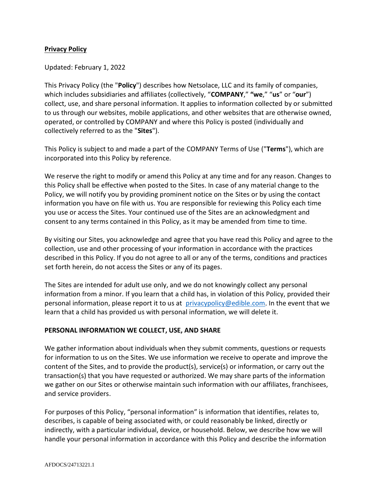## **Privacy Policy**

## Updated: February 1, 2022

This Privacy Policy (the "**Policy**") describes how Netsolace, LLC and its family of companies, which includes subsidiaries and affiliates (collectively, "**COMPANY**," **"we**," "**us**" or "**our**") collect, use, and share personal information. It applies to information collected by or submitted to us through our websites, mobile applications, and other websites that are otherwise owned, operated, or controlled by COMPANY and where this Policy is posted (individually and collectively referred to as the "**Sites**").

This Policy is subject to and made a part of the COMPANY Terms of Use ("**Terms**"), which are incorporated into this Policy by reference. 

We reserve the right to modify or amend this Policy at any time and for any reason. Changes to this Policy shall be effective when posted to the Sites. In case of any material change to the Policy, we will notify you by providing prominent notice on the Sites or by using the contact information you have on file with us. You are responsible for reviewing this Policy each time you use or access the Sites. Your continued use of the Sites are an acknowledgment and consent to any terms contained in this Policy, as it may be amended from time to time.

By visiting our Sites, you acknowledge and agree that you have read this Policy and agree to the collection, use and other processing of your information in accordance with the practices described in this Policy. If you do not agree to all or any of the terms, conditions and practices set forth herein, do not access the Sites or any of its pages.

The Sites are intended for adult use only, and we do not knowingly collect any personal information from a minor. If you learn that a child has, in violation of this Policy, provided their personal information, please report it to us at [privacypolicy@edible.com](mailto:privacypolicy@edible.com). In the event that we learn that a child has provided us with personal information, we will delete it.

## **PERSONAL INFORMATION WE COLLECT, USE, AND SHARE**

We gather information about individuals when they submit comments, questions or requests for information to us on the Sites. We use information we receive to operate and improve the content of the Sites, and to provide the product(s), service(s) or information, or carry out the transaction(s) that you have requested or authorized. We may share parts of the information we gather on our Sites or otherwise maintain such information with our affiliates, franchisees, and service providers.

For purposes of this Policy, "personal information" is information that identifies, relates to, describes, is capable of being associated with, or could reasonably be linked, directly or indirectly, with a particular individual, device, or household. Below, we describe how we will handle your personal information in accordance with this Policy and describe the information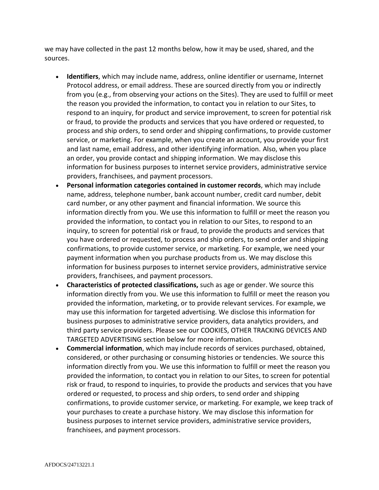we may have collected in the past 12 months below, how it may be used, shared, and the sources.

- **Identifiers**, which may include name, address, online identifier or username, Internet Protocol address, or email address. These are sourced directly from you or indirectly from you (e.g., from observing your actions on the Sites). They are used to fulfill or meet the reason you provided the information, to contact you in relation to our Sites, to respond to an inquiry, for product and service improvement, to screen for potential risk or fraud, to provide the products and services that you have ordered or requested, to process and ship orders, to send order and shipping confirmations, to provide customer service, or marketing. For example, when you create an account, you provide your first and last name, email address, and other identifying information. Also, when you place an order, you provide contact and shipping information. We may disclose this information for business purposes to internet service providers, administrative service providers, franchisees, and payment processors.
- **Personal information categories contained in customer records**, which may include name, address, telephone number, bank account number, credit card number, debit card number, or any other payment and financial information. We source this information directly from you. We use this information to fulfill or meet the reason you provided the information, to contact you in relation to our Sites, to respond to an inquiry, to screen for potential risk or fraud, to provide the products and services that you have ordered or requested, to process and ship orders, to send order and shipping confirmations, to provide customer service, or marketing. For example, we need your payment information when you purchase products from us. We may disclose this information for business purposes to internet service providers, administrative service providers, franchisees, and payment processors.
- **Characteristics of protected classifications,** such as age or gender. We source this information directly from you. We use this information to fulfill or meet the reason you provided the information, marketing, or to provide relevant services. For example, we may use this information for targeted advertising. We disclose this information for business purposes to administrative service providers, data analytics providers, and third party service providers. Please see our COOKIES, OTHER TRACKING DEVICES AND TARGETED ADVERTISING section below for more information.
- **Commercial information**, which may include records of services purchased, obtained, considered, or other purchasing or consuming histories or tendencies. We source this information directly from you. We use this information to fulfill or meet the reason you provided the information, to contact you in relation to our Sites, to screen for potential risk or fraud, to respond to inquiries, to provide the products and services that you have ordered or requested, to process and ship orders, to send order and shipping confirmations, to provide customer service, or marketing. For example, we keep track of your purchases to create a purchase history. We may disclose this information for business purposes to internet service providers, administrative service providers, franchisees, and payment processors.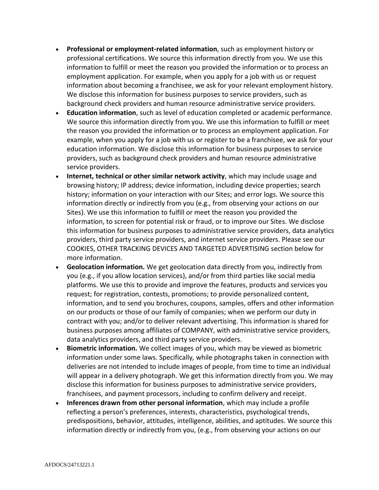- **Professional or employment-related information**, such as employment history or professional certifications. We source this information directly from you. We use this information to fulfill or meet the reason you provided the information or to process an employment application. For example, when you apply for a job with us or request information about becoming a franchisee, we ask for your relevant employment history. We disclose this information for business purposes to service providers, such as background check providers and human resource administrative service providers.
- **Education information**, such as level of education completed or academic performance. We source this information directly from you. We use this information to fulfill or meet the reason you provided the information or to process an employment application. For example, when you apply for a job with us or register to be a franchisee, we ask for your education information. We disclose this information for business purposes to service providers, such as background check providers and human resource administrative service providers.
- **Internet, technical or other similar network activity**, which may include usage and browsing history; IP address; device information, including device properties; search history; information on your interaction with our Sites; and error logs. We source this information directly or indirectly from you (e.g., from observing your actions on our Sites). We use this information to fulfill or meet the reason you provided the information, to screen for potential risk or fraud, or to improve our Sites. We disclose this information for business purposes to administrative service providers, data analytics providers, third party service providers, and internet service providers. Please see our COOKIES, OTHER TRACKING DEVICES AND TARGETED ADVERTISING section below for more information.
- **Geolocation information.** We get geolocation data directly from you, indirectly from you (e.g., if you allow location services), and/or from third parties like social media platforms. We use this to provide and improve the features, products and services you request; for registration, contests, promotions; to provide personalized content, information, and to send you brochures, coupons, samples, offers and other information on our products or those of our family of companies; when we perform our duty in contract with you; and/or to deliver relevant advertising. This information is shared for business purposes among affiliates of COMPANY, with administrative service providers, data analytics providers, and third party service providers.
- **Biometric information.** We collect images of you, which may be viewed as biometric information under some laws. Specifically, while photographs taken in connection with deliveries are not intended to include images of people, from time to time an individual will appear in a delivery photograph. We get this information directly from you. We may disclose this information for business purposes to administrative service providers, franchisees, and payment processors, including to confirm delivery and receipt.
- **Inferences drawn from other personal information**, which may include a profile reflecting a person's preferences, interests, characteristics, psychological trends, predispositions, behavior, attitudes, intelligence, abilities, and aptitudes. We source this information directly or indirectly from you, (e.g., from observing your actions on our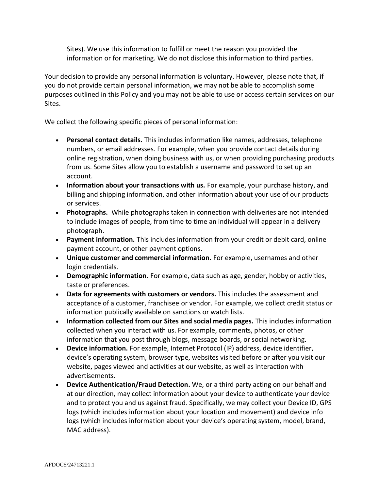Sites). We use this information to fulfill or meet the reason you provided the information or for marketing. We do not disclose this information to third parties.

Your decision to provide any personal information is voluntary. However, please note that, if you do not provide certain personal information, we may not be able to accomplish some purposes outlined in this Policy and you may not be able to use or access certain services on our Sites.

We collect the following specific pieces of personal information:

- **Personal contact details.** This includes information like names, addresses, telephone numbers, or email addresses. For example, when you provide contact details during online registration, when doing business with us, or when providing purchasing products from us. Some Sites allow you to establish a username and password to set up an account.
- **Information about your transactions with us.** For example, your purchase history, and billing and shipping information, and other information about your use of our products or services.
- **Photographs.** While photographs taken in connection with deliveries are not intended to include images of people, from time to time an individual will appear in a delivery photograph.
- **Payment information.** This includes information from your credit or debit card, online payment account, or other payment options.
- **Unique customer and commercial information.** For example, usernames and other login credentials.
- **Demographic information.** For example, data such as age, gender, hobby or activities, taste or preferences.
- **Data for agreements with customers or vendors.** This includes the assessment and acceptance of a customer, franchisee or vendor. For example, we collect credit status or information publically available on sanctions or watch lists.
- **Information collected from our Sites and social media pages.** This includes information collected when you interact with us. For example, comments, photos, or other information that you post through blogs, message boards, or social networking.
- **Device information.** For example, Internet Protocol (IP) address, device identifier, device's operating system, browser type, websites visited before or after you visit our website, pages viewed and activities at our website, as well as interaction with advertisements.
- **Device Authentication/Fraud Detection.** We, or a third party acting on our behalf and at our direction, may collect information about your device to authenticate your device and to protect you and us against fraud. Specifically, we may collect your Device ID, GPS logs (which includes information about your location and movement) and device info logs (which includes information about your device's operating system, model, brand, MAC address).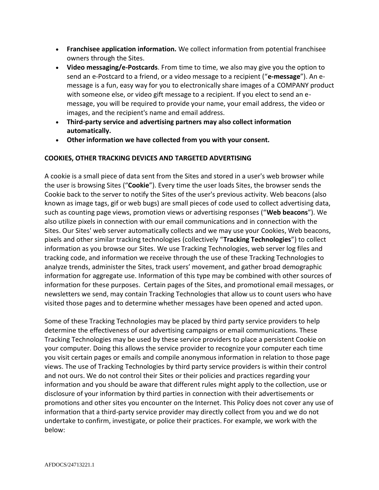- **Franchisee application information.** We collect information from potential franchisee owners through the Sites.
- **Video messaging/e-Postcards**. From time to time, we also may give you the option to send an e-Postcard to a friend, or a video message to a recipient ("**e-message**"). An emessage is a fun, easy way for you to electronically share images of a COMPANY product with someone else, or video gift message to a recipient. If you elect to send an emessage, you will be required to provide your name, your email address, the video or images, and the recipient's name and email address.
- **Third-party service and advertising partners may also collect information automatically.**
- **Other information we have collected from you with your consent.**

# **COOKIES, OTHER TRACKING DEVICES AND TARGETED ADVERTISING**

A cookie is a small piece of data sent from the Sites and stored in a user's web browser while the user is browsing Sites ("**Cookie**"). Every time the user loads Sites, the browser sends the Cookie back to the server to notify the Sites of the user's previous activity. Web beacons (also known as image tags, gif or web bugs) are small pieces of code used to collect advertising data, such as counting page views, promotion views or advertising responses ("**Web beacons**"). We also utilize pixels in connection with our email communications and in connection with the Sites. Our Sites' web server automatically collects and we may use your Cookies, Web beacons, pixels and other similar tracking technologies (collectively "**Tracking Technologies**") to collect information as you browse our Sites. We use Tracking Technologies, web server log files and tracking code, and information we receive through the use of these Tracking Technologies to analyze trends, administer the Sites, track users' movement, and gather broad demographic information for aggregate use. Information of this type may be combined with other sources of information for these purposes. Certain pages of the Sites, and promotional email messages, or newsletters we send, may contain Tracking Technologies that allow us to count users who have visited those pages and to determine whether messages have been opened and acted upon.

Some of these Tracking Technologies may be placed by third party service providers to help determine the effectiveness of our advertising campaigns or email communications. These Tracking Technologies may be used by these service providers to place a persistent Cookie on your computer. Doing this allows the service provider to recognize your computer each time you visit certain pages or emails and compile anonymous information in relation to those page views. The use of Tracking Technologies by third party service providers is within their control and not ours. We do not control their Sites or their policies and practices regarding your information and you should be aware that different rules might apply to the collection, use or disclosure of your information by third parties in connection with their advertisements or promotions and other sites you encounter on the Internet. This Policy does not cover any use of information that a third-party service provider may directly collect from you and we do not undertake to confirm, investigate, or police their practices. For example, we work with the below: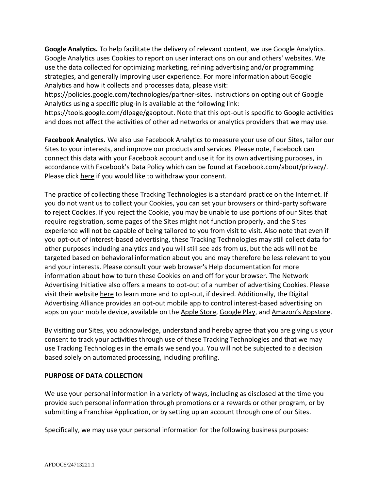**Google Analytics.** To help facilitate the delivery of relevant content, we use Google Analytics. Google Analytics uses Cookies to report on user interactions on our and others' websites. We use the data collected for optimizing marketing, refining advertising and/or programming strategies, and generally improving user experience. For more information about Google Analytics and how it collects and processes data, please visit:

https://policies.google.com/technologies/partner-sites. Instructions on opting out of Google Analytics using a specific plug-in is available at the following link:

https://tools.google.com/dlpage/gaoptout. Note that this opt-out is specific to Google activities and does not affect the activities of other ad networks or analytics providers that we may use.

**Facebook Analytics.** We also use Facebook Analytics to measure your use of our Sites, tailor our Sites to your interests, and improve our products and services. Please note, Facebook can connect this data with your Facebook account and use it for its own advertising purposes, in accordance with Facebook's Data Policy which can be found at Facebook.com/about/privacy/. Please click [here](https://www.facebook.com/settings/?tab=ads#_=) if you would like to withdraw your consent.

The practice of collecting these Tracking Technologies is a standard practice on the Internet. If you do not want us to collect your Cookies, you can set your browsers or third-party software to reject Cookies. If you reject the Cookie, you may be unable to use portions of our Sites that require registration, some pages of the Sites might not function properly, and the Sites experience will not be capable of being tailored to you from visit to visit. Also note that even if you opt-out of interest-based advertising, these Tracking Technologies may still collect data for other purposes including analytics and you will still see ads from us, but the ads will not be targeted based on behavioral information about you and may therefore be less relevant to you and your interests. Please consult your web browser's Help documentation for more information about how to turn these Cookies on and off for your browser. The Network Advertising Initiative also offers a means to opt-out of a number of advertising Cookies. Please visit their website [here](https://optout.networkadvertising.org/?c=1#!%2F) to learn more and to opt-out, if desired. Additionally, the Digital Advertising Alliance provides an opt-out mobile app to control interest-based advertising on apps on your mobile device, available on the [Apple Store,](https://itunes.apple.com/us/app/appchoices/id894822870?mt=8) [Google Play,](https://play.google.com/store/apps/details?id=com.DAA.appchoices&hl=en) and [Amazon's Appstore](http://www.amazon.com/Digital-Advertising-Alliance-AppChoices/dp/B00SVQ4FMO).

By visiting our Sites, you acknowledge, understand and hereby agree that you are giving us your consent to track your activities through use of these Tracking Technologies and that we may use Tracking Technologies in the emails we send you. You will not be subjected to a decision based solely on automated processing, including profiling.

# **PURPOSE OF DATA COLLECTION**

We use your personal information in a variety of ways, including as disclosed at the time you provide such personal information through promotions or a rewards or other program, or by submitting a Franchise Application, or by setting up an account through one of our Sites.

Specifically, we may use your personal information for the following business purposes: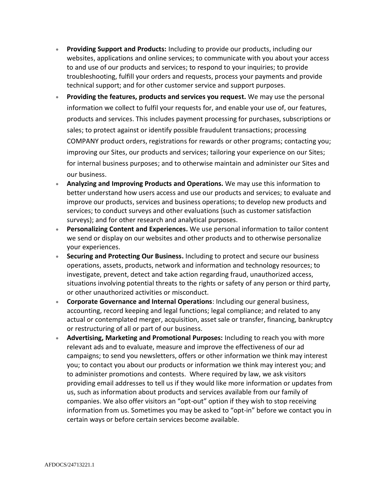- **Providing Support and Products:** Including to provide our products, including our websites, applications and online services; to communicate with you about your access to and use of our products and services; to respond to your inquiries; to provide troubleshooting, fulfill your orders and requests, process your payments and provide technical support; and for other customer service and support purposes.
- **Providing the features, products and services you request.** We may use the personal information we collect to fulfil your requests for, and enable your use of, our features, products and services. This includes payment processing for purchases, subscriptions or sales; to protect against or identify possible fraudulent transactions; processing COMPANY product orders, registrations for rewards or other programs; contacting you; improving our Sites, our products and services; tailoring your experience on our Sites; for internal business purposes; and to otherwise maintain and administer our Sites and our business.
- **Analyzing and Improving Products and Operations.** We may use this information to better understand how users access and use our products and services; to evaluate and improve our products, services and business operations; to develop new products and services; to conduct surveys and other evaluations (such as customer satisfaction surveys); and for other research and analytical purposes.
- **Personalizing Content and Experiences.** We use personal information to tailor content we send or display on our websites and other products and to otherwise personalize your experiences.
- **Securing and Protecting Our Business.** Including to protect and secure our business operations, assets, products, network and information and technology resources; to investigate, prevent, detect and take action regarding fraud, unauthorized access, situations involving potential threats to the rights or safety of any person or third party, or other unauthorized activities or misconduct.
- **Corporate Governance and Internal Operations**: Including our general business, accounting, record keeping and legal functions; legal compliance; and related to any actual or contemplated merger, acquisition, asset sale or transfer, financing, bankruptcy or restructuring of all or part of our business.
- **Advertising, Marketing and Promotional Purposes:** Including to reach you with more relevant ads and to evaluate, measure and improve the effectiveness of our ad campaigns; to send you newsletters, offers or other information we think may interest you; to contact you about our products or information we think may interest you; and to administer promotions and contests. Where required by law, we ask visitors providing email addresses to tell us if they would like more information or updates from us, such as information about products and services available from our family of companies. We also offer visitors an "opt-out" option if they wish to stop receiving information from us. Sometimes you may be asked to "opt-in" before we contact you in certain ways or before certain services become available.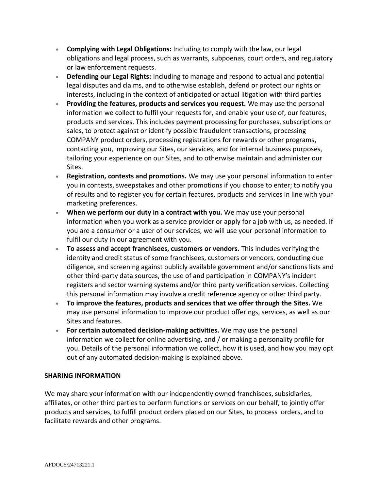- **Complying with Legal Obligations:** Including to comply with the law, our legal obligations and legal process, such as warrants, subpoenas, court orders, and regulatory or law enforcement requests.
- **Defending our Legal Rights:** Including to manage and respond to actual and potential legal disputes and claims, and to otherwise establish, defend or protect our rights or interests, including in the context of anticipated or actual litigation with third parties
- **Providing the features, products and services you request.** We may use the personal information we collect to fulfil your requests for, and enable your use of, our features, products and services. This includes payment processing for purchases, subscriptions or sales, to protect against or identify possible fraudulent transactions, processing COMPANY product orders, processing registrations for rewards or other programs, contacting you, improving our Sites, our services, and for internal business purposes, tailoring your experience on our Sites, and to otherwise maintain and administer our Sites.
- **Registration, contests and promotions.** We may use your personal information to enter you in contests, sweepstakes and other promotions if you choose to enter; to notify you of results and to register you for certain features, products and services in line with your marketing preferences.
- **When we perform our duty in a contract with you.** We may use your personal information when you work as a service provider or apply for a job with us, as needed. If you are a consumer or a user of our services, we will use your personal information to fulfil our duty in our agreement with you.
- **To assess and accept franchisees, customers or vendors.** This includes verifying the identity and credit status of some franchisees, customers or vendors, conducting due diligence, and screening against publicly available government and/or sanctions lists and other third-party data sources, the use of and participation in COMPANY's incident registers and sector warning systems and/or third party verification services. Collecting this personal information may involve a credit reference agency or other third party.
- **To improve the features, products and services that we offer through the Sites.** We may use personal information to improve our product offerings, services, as well as our Sites and features.
- **For certain automated decision-making activities.** We may use the personal information we collect for online advertising, and / or making a personality profile for you. Details of the personal information we collect, how it is used, and how you may opt out of any automated decision-making is explained above.

# **SHARING INFORMATION**

We may share your information with our independently owned franchisees, subsidiaries, affiliates, or other third parties to perform functions or services on our behalf, to jointly offer products and services, to fulfill product orders placed on our Sites, to process orders, and to facilitate rewards and other programs.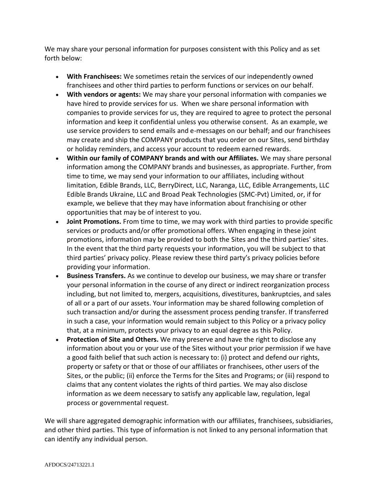We may share your personal information for purposes consistent with this Policy and as set forth below:

- **With Franchisees:** We sometimes retain the services of our independently owned franchisees and other third parties to perform functions or services on our behalf.
- **With vendors or agents:** We may share your personal information with companies we have hired to provide services for us. When we share personal information with companies to provide services for us, they are required to agree to protect the personal information and keep it confidential unless you otherwise consent. As an example, we use service providers to send emails and e-messages on our behalf; and our franchisees may create and ship the COMPANY products that you order on our Sites, send birthday or holiday reminders, and access your account to redeem earned rewards.
- **Within our family of COMPANY brands and with our Affiliates.** We may share personal information among the COMPANY brands and businesses, as appropriate. Further, from time to time, we may send your information to our affiliates, including without limitation, Edible Brands, LLC, BerryDirect, LLC, Naranga, LLC, Edible Arrangements, LLC Edible Brands Ukraine, LLC and Broad Peak Technologies (SMC-Pvt) Limited, or, if for example, we believe that they may have information about franchising or other opportunities that may be of interest to you.
- **Joint Promotions.** From time to time, we may work with third parties to provide specific services or products and/or offer promotional offers. When engaging in these joint promotions, information may be provided to both the Sites and the third parties' sites. In the event that the third party requests your information, you will be subject to that third parties' privacy policy. Please review these third party's privacy policies before providing your information.
- **Business Transfers.** As we continue to develop our business, we may share or transfer your personal information in the course of any direct or indirect reorganization process including, but not limited to, mergers, acquisitions, divestitures, bankruptcies, and sales of all or a part of our assets. Your information may be shared following completion of such transaction and/or during the assessment process pending transfer. If transferred in such a case, your information would remain subject to this Policy or a privacy policy that, at a minimum, protects your privacy to an equal degree as this Policy.
- **Protection of Site and Others.** We may preserve and have the right to disclose any information about you or your use of the Sites without your prior permission if we have a good faith belief that such action is necessary to: (i) protect and defend our rights, property or safety or that or those of our affiliates or franchisees, other users of the Sites, or the public; (ii) enforce the Terms for the Sites and Programs; or (iii) respond to claims that any content violates the rights of third parties. We may also disclose information as we deem necessary to satisfy any applicable law, regulation, legal process or governmental request.

We will share aggregated demographic information with our affiliates, franchisees, subsidiaries, and other third parties. This type of information is not linked to any personal information that can identify any individual person.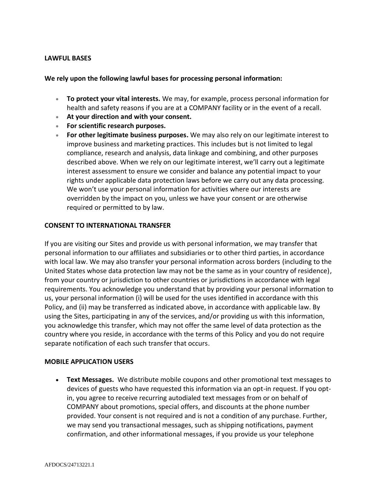### **LAWFUL BASES**

### **We rely upon the following lawful bases for processing personal information:**

- **To protect your vital interests.** We may, for example, process personal information for health and safety reasons if you are at a COMPANY facility or in the event of a recall.
- **At your direction and with your consent.**
- **For scientific research purposes.**
- **For other legitimate business purposes.** We may also rely on our legitimate interest to improve business and marketing practices. This includes but is not limited to legal compliance, research and analysis, data linkage and combining, and other purposes described above. When we rely on our legitimate interest, we'll carry out a legitimate interest assessment to ensure we consider and balance any potential impact to your rights under applicable data protection laws before we carry out any data processing. We won't use your personal information for activities where our interests are overridden by the impact on you, unless we have your consent or are otherwise required or permitted to by law.

#### **CONSENT TO INTERNATIONAL TRANSFER**

If you are visiting our Sites and provide us with personal information, we may transfer that personal information to our affiliates and subsidiaries or to other third parties, in accordance with local law. We may also transfer your personal information across borders (including to the United States whose data protection law may not be the same as in your country of residence), from your country or jurisdiction to other countries or jurisdictions in accordance with legal requirements. You acknowledge you understand that by providing your personal information to us, your personal information (i) will be used for the uses identified in accordance with this Policy, and (ii) may be transferred as indicated above, in accordance with applicable law. By using the Sites, participating in any of the services, and/or providing us with this information, you acknowledge this transfer, which may not offer the same level of data protection as the country where you reside, in accordance with the terms of this Policy and you do not require separate notification of each such transfer that occurs.

#### **MOBILE APPLICATION USERS**

• **Text Messages.** We distribute mobile coupons and other promotional text messages to devices of guests who have requested this information via an opt-in request. If you optin, you agree to receive recurring autodialed text messages from or on behalf of COMPANY about promotions, special offers, and discounts at the phone number provided. Your consent is not required and is not a condition of any purchase. Further, we may send you transactional messages, such as shipping notifications, payment confirmation, and other informational messages, if you provide us your telephone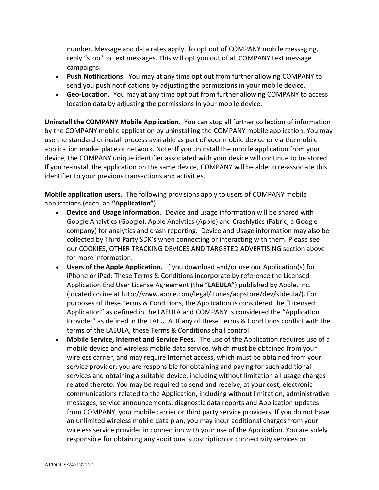number. Message and data rates apply. To opt out of COMPANY mobile messaging, reply "stop" to text messages. This will opt you out of all COMPANY text message campaigns.

- **Push Notifications.** You may at any time opt out from further allowing COMPANY to send you push notifications by adjusting the permissions in your mobile device.
- **Geo-Location.** You may at any time opt out from further allowing COMPANY to access location data by adjusting the permissions in your mobile device.

**Uninstall the COMPANY Mobile Application**. You can stop all further collection of information by the COMPANY mobile application by uninstalling the COMPANY mobile application. You may use the standard uninstall process available as part of your mobile device or via the mobile application marketplace or network. Note: If you uninstall the mobile application from your device, the COMPANY unique identifier associated with your device will continue to be stored. If you re-install the application on the same device, COMPANY will be able to re-associate this identifier to your previous transactions and activities.

**Mobile application users.** The following provisions apply to users of COMPANY mobile applications (each, an **"Application"**):

- **Device and Usage Information.** Device and usage information will be shared with Google Analytics (Google), Apple Analytics (Apple) and Crashlytics (Fabric, a Google company) for analytics and crash reporting.  Device and Usage information may also be collected by Third Party SDK's when connecting or interacting with them. Please see our COOKIES, OTHER TRACKING DEVICES AND TARGETED ADVERTISING section above for more information.
- **Users of the Apple Application.** If you download and/or use our Application(s) for iPhone or iPad: These Terms & Conditions incorporate by reference the Licensed Application End User License Agreement (the "**LAEULA**") published by Apple, Inc. (located online at http://www.apple.com/legal/itunes/appstore/dev/stdeula/). For purposes of these Terms & Conditions, the Application is considered the "Licensed Application" as defined in the LAEULA and COMPANY is considered the "Application Provider" as defined in the LAEULA. If any of these Terms & Conditions conflict with the terms of the LAEULA, these Terms & Conditions shall control.
- **Mobile Service, Internet and Service Fees.** The use of the Application requires use of a mobile device and wireless mobile data service, which must be obtained from your wireless carrier, and may require Internet access, which must be obtained from your service provider; you are responsible for obtaining and paying for such additional services and obtaining a suitable device, including without limitation all usage charges related thereto. You may be required to send and receive, at your cost, electronic communications related to the Application, including without limitation, administrative messages, service announcements, diagnostic data reports and Application updates from COMPANY, your mobile carrier or third party service providers. If you do not have an unlimited wireless mobile data plan, you may incur additional charges from your wireless service provider in connection with your use of the Application. You are solely responsible for obtaining any additional subscription or connectivity services or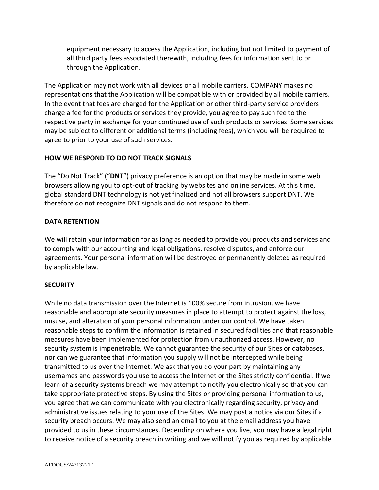equipment necessary to access the Application, including but not limited to payment of all third party fees associated therewith, including fees for information sent to or through the Application.

The Application may not work with all devices or all mobile carriers. COMPANY makes no representations that the Application will be compatible with or provided by all mobile carriers. In the event that fees are charged for the Application or other third-party service providers charge a fee for the products or services they provide, you agree to pay such fee to the respective party in exchange for your continued use of such products or services. Some services may be subject to different or additional terms (including fees), which you will be required to agree to prior to your use of such services.

# **HOW WE RESPOND TO DO NOT TRACK SIGNALS**

The "Do Not Track" ("**DNT**") privacy preference is an option that may be made in some web browsers allowing you to opt-out of tracking by websites and online services. At this time, global standard DNT technology is not yet finalized and not all browsers support DNT. We therefore do not recognize DNT signals and do not respond to them.

## **DATA RETENTION**

We will retain your information for as long as needed to provide you products and services and to comply with our accounting and legal obligations, resolve disputes, and enforce our agreements. Your personal information will be destroyed or permanently deleted as required by applicable law.

## **SECURITY**

While no data transmission over the Internet is 100% secure from intrusion, we have reasonable and appropriate security measures in place to attempt to protect against the loss, misuse, and alteration of your personal information under our control. We have taken reasonable steps to confirm the information is retained in secured facilities and that reasonable measures have been implemented for protection from unauthorized access. However, no security system is impenetrable. We cannot guarantee the security of our Sites or databases, nor can we guarantee that information you supply will not be intercepted while being transmitted to us over the Internet. We ask that you do your part by maintaining any usernames and passwords you use to access the Internet or the Sites strictly confidential. If we learn of a security systems breach we may attempt to notify you electronically so that you can take appropriate protective steps. By using the Sites or providing personal information to us, you agree that we can communicate with you electronically regarding security, privacy and administrative issues relating to your use of the Sites. We may post a notice via our Sites if a security breach occurs. We may also send an email to you at the email address you have provided to us in these circumstances. Depending on where you live, you may have a legal right to receive notice of a security breach in writing and we will notify you as required by applicable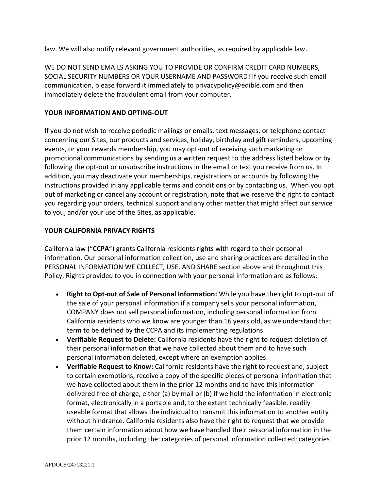law. We will also notify relevant government authorities, as required by applicable law.

WE DO NOT SEND EMAILS ASKING YOU TO PROVIDE OR CONFIRM CREDIT CARD NUMBERS, SOCIAL SECURITY NUMBERS OR YOUR USERNAME AND PASSWORD! If you receive such email communication, please forward it immediately to privacypolicy@edible.com and then immediately delete the fraudulent email from your computer.

## **YOUR INFORMATION AND OPTING-OUT**

If you do not wish to receive periodic mailings or emails, text messages, or telephone contact concerning our Sites, our products and services, holiday, birthday and gift reminders, upcoming events, or your rewards membership, you may opt-out of receiving such marketing or promotional communications by sending us a written request to the address listed below or by following the opt-out or unsubscribe instructions in the email or text you receive from us. In addition, you may deactivate your memberships, registrations or accounts by following the instructions provided in any applicable terms and conditions or by contacting us. When you opt out of marketing or cancel any account or registration, note that we reserve the right to contact you regarding your orders, technical support and any other matter that might affect our service to you, and/or your use of the Sites, as applicable.

## **YOUR CALIFORNIA PRIVACY RIGHTS**

California law ("**CCPA**") grants California residents rights with regard to their personal information. Our personal information collection, use and sharing practices are detailed in the PERSONAL INFORMATION WE COLLECT, USE, AND SHARE section above and throughout this Policy. Rights provided to you in connection with your personal information are as follows:

- **Right to Opt-out of Sale of Personal Information:** While you have the right to opt-out of the sale of your personal information if a company sells your personal information, COMPANY does not sell personal information, including personal information from California residents who we know are younger than 16 years old, as we understand that term to be defined by the CCPA and its implementing regulations.
- **Verifiable Request to Delete:** California residents have the right to request deletion of their personal information that we have collected about them and to have such personal information deleted, except where an exemption applies.
- **Verifiable Request to Know:** California residents have the right to request and, subject to certain exemptions, receive a copy of the specific pieces of personal information that we have collected about them in the prior 12 months and to have this information delivered free of charge, either (a) by mail or (b) if we hold the information in electronic format, electronically in a portable and, to the extent technically feasible, readily useable format that allows the individual to transmit this information to another entity without hindrance. California residents also have the right to request that we provide them certain information about how we have handled their personal information in the prior 12 months, including the: categories of personal information collected; categories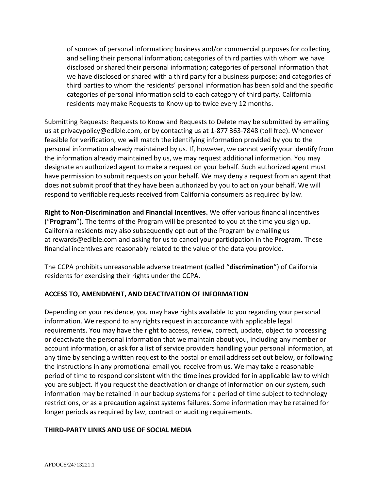of sources of personal information; business and/or commercial purposes for collecting and selling their personal information; categories of third parties with whom we have disclosed or shared their personal information; categories of personal information that we have disclosed or shared with a third party for a business purpose; and categories of third parties to whom the residents' personal information has been sold and the specific categories of personal information sold to each category of third party. California residents may make Requests to Know up to twice every 12 months.

Submitting Requests: Requests to Know and Requests to Delete may be submitted by emailing us at privacypolicy@edible.com, or by contacting us at 1-877 363-7848 (toll free). Whenever feasible for verification, we will match the identifying information provided by you to the personal information already maintained by us. If, however, we cannot verify your identify from the information already maintained by us, we may request additional information. You may designate an authorized agent to make a request on your behalf. Such authorized agent must have permission to submit requests on your behalf. We may deny a request from an agent that does not submit proof that they have been authorized by you to act on your behalf. We will respond to verifiable requests received from California consumers as required by law.

**Right to Non-Discrimination and Financial Incentives.** We offer various financial incentives ("**Program**"). The terms of the Program will be presented to you at the time you sign up. California residents may also subsequently opt-out of the Program by emailing us at rewards@edible.com and asking for us to cancel your participation in the Program. These financial incentives are reasonably related to the value of the data you provide.

The CCPA prohibits unreasonable adverse treatment (called "**discrimination**") of California residents for exercising their rights under the CCPA.

# **ACCESS TO, AMENDMENT, AND DEACTIVATION OF INFORMATION**

Depending on your residence, you may have rights available to you regarding your personal information. We respond to any rights request in accordance with applicable legal requirements. You may have the right to access, review, correct, update, object to processing or deactivate the personal information that we maintain about you, including any member or account information, or ask for a list of service providers handling your personal information, at any time by sending a written request to the postal or email address set out below, or following the instructions in any promotional email you receive from us. We may take a reasonable period of time to respond consistent with the timelines provided for in applicable law to which you are subject. If you request the deactivation or change of information on our system, such information may be retained in our backup systems for a period of time subject to technology restrictions, or as a precaution against systems failures. Some information may be retained for longer periods as required by law, contract or auditing requirements.

## **THIRD-PARTY LINKS AND USE OF SOCIAL MEDIA**